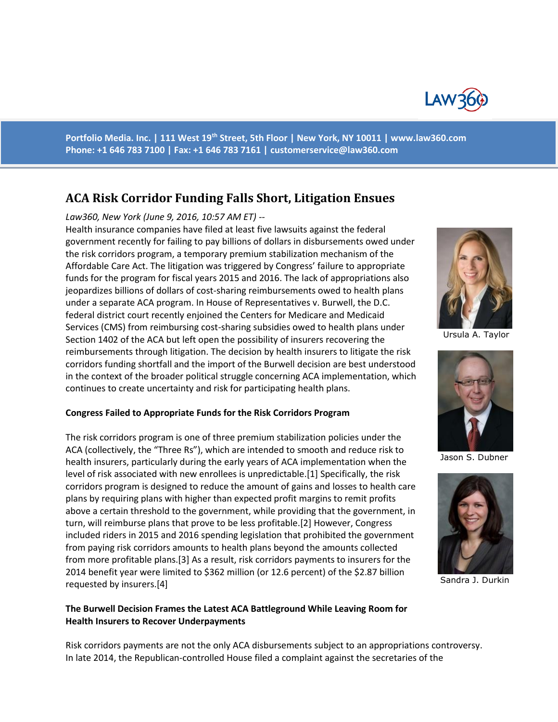

**Portfolio Media. Inc. | 111 West 19th Street, 5th Floor | New York, NY 10011 | www.law360.com Phone: +1 646 783 7100 | Fax: +1 646 783 7161 | [customerservice@law360.com](mailto:customerservice@law360.com)**

# **ACA Risk Corridor Funding Falls Short, Litigation Ensues**

#### *Law360, New York (June 9, 2016, 10:57 AM ET) --*

Health insurance companies have filed at least five lawsuits against the federal government recently for failing to pay billions of dollars in disbursements owed under the risk corridors program, a temporary premium stabilization mechanism of the Affordable Care Act. The litigation was triggered by Congress' failure to appropriate funds for the program for fiscal years 2015 and 2016. The lack of appropriations also jeopardizes billions of dollars of cost-sharing reimbursements owed to health plans under a separate ACA program. In House of Representatives v. Burwell, the D.C. federal district court recently enjoined the Centers for Medicare and Medicaid Services (CMS) from reimbursing cost-sharing subsidies owed to health plans under Section 1402 of the ACA but left open the possibility of insurers recovering the reimbursements through litigation. The decision by health insurers to litigate the risk corridors funding shortfall and the import of the Burwell decision are best understood in the context of the broader political struggle concerning ACA implementation, which continues to create uncertainty and risk for participating health plans.

#### **Congress Failed to Appropriate Funds for the Risk Corridors Program**

The risk corridors program is one of three premium stabilization policies under the ACA (collectively, the "Three Rs"), which are intended to smooth and reduce risk to health insurers, particularly during the early years of ACA implementation when the level of risk associated with new enrollees is unpredictable.[1] Specifically, the risk corridors program is designed to reduce the amount of gains and losses to health care plans by requiring plans with higher than expected profit margins to remit profits above a certain threshold to the government, while providing that the government, in turn, will reimburse plans that prove to be less profitable.[2] However, Congress included riders in 2015 and 2016 spending legislation that prohibited the government from paying risk corridors amounts to health plans beyond the amounts collected from more profitable plans.[3] As a result, risk corridors payments to insurers for the 2014 benefit year were limited to \$362 million (or 12.6 percent) of the \$2.87 billion requested by insurers.[4]

#### **The Burwell Decision Frames the Latest ACA Battleground While Leaving Room for Health Insurers to Recover Underpayments**

Risk corridors payments are not the only ACA disbursements subject to an appropriations controversy. In late 2014, the Republican-controlled House filed a complaint against the secretaries of the



Ursula A. Taylor



Jason S. Dubner



Sandra J. Durkin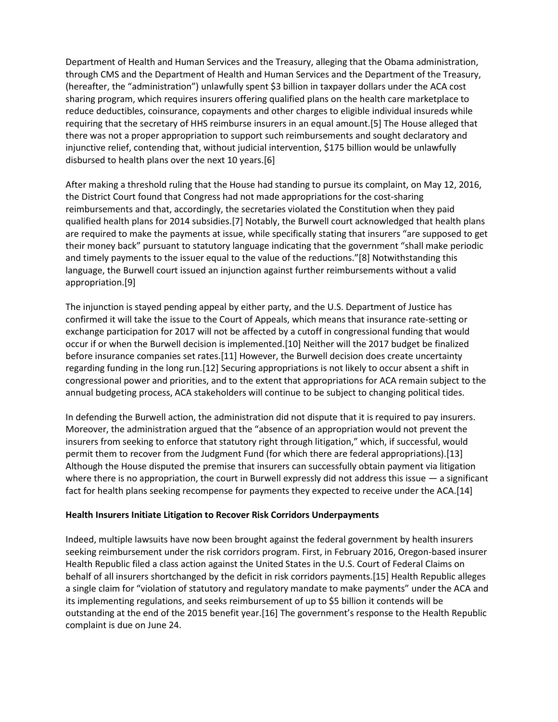Department of Health and Human Services and the Treasury, alleging that the Obama administration, through CMS and the Department of Health and Human Services and the Department of the Treasury, (hereafter, the "administration") unlawfully spent \$3 billion in taxpayer dollars under the ACA cost sharing program, which requires insurers offering qualified plans on the health care marketplace to reduce deductibles, coinsurance, copayments and other charges to eligible individual insureds while requiring that the secretary of HHS reimburse insurers in an equal amount.[5] The House alleged that there was not a proper appropriation to support such reimbursements and sought declaratory and injunctive relief, contending that, without judicial intervention, \$175 billion would be unlawfully disbursed to health plans over the next 10 years.[6]

After making a threshold ruling that the House had standing to pursue its complaint, on May 12, 2016, the District Court found that Congress had not made appropriations for the cost-sharing reimbursements and that, accordingly, the secretaries violated the Constitution when they paid qualified health plans for 2014 subsidies.[7] Notably, the Burwell court acknowledged that health plans are required to make the payments at issue, while specifically stating that insurers "are supposed to get their money back" pursuant to statutory language indicating that the government "shall make periodic and timely payments to the issuer equal to the value of the reductions."[8] Notwithstanding this language, the Burwell court issued an injunction against further reimbursements without a valid appropriation.[9]

The injunction is stayed pending appeal by either party, and the U.S. Department of Justice has confirmed it will take the issue to the Court of Appeals, which means that insurance rate-setting or exchange participation for 2017 will not be affected by a cutoff in congressional funding that would occur if or when the Burwell decision is implemented.[10] Neither will the 2017 budget be finalized before insurance companies set rates.[11] However, the Burwell decision does create uncertainty regarding funding in the long run.[12] Securing appropriations is not likely to occur absent a shift in congressional power and priorities, and to the extent that appropriations for ACA remain subject to the annual budgeting process, ACA stakeholders will continue to be subject to changing political tides.

In defending the Burwell action, the administration did not dispute that it is required to pay insurers. Moreover, the administration argued that the "absence of an appropriation would not prevent the insurers from seeking to enforce that statutory right through litigation," which, if successful, would permit them to recover from the Judgment Fund (for which there are federal appropriations).[13] Although the House disputed the premise that insurers can successfully obtain payment via litigation where there is no appropriation, the court in Burwell expressly did not address this issue  $-$  a significant fact for health plans seeking recompense for payments they expected to receive under the ACA.[14]

#### **Health Insurers Initiate Litigation to Recover Risk Corridors Underpayments**

Indeed, multiple lawsuits have now been brought against the federal government by health insurers seeking reimbursement under the risk corridors program. First, in February 2016, Oregon-based insurer Health Republic filed a class action against the United States in the U.S. Court of Federal Claims on behalf of all insurers shortchanged by the deficit in risk corridors payments.[15] Health Republic alleges a single claim for "violation of statutory and regulatory mandate to make payments" under the ACA and its implementing regulations, and seeks reimbursement of up to \$5 billion it contends will be outstanding at the end of the 2015 benefit year.[16] The government's response to the Health Republic complaint is due on June 24.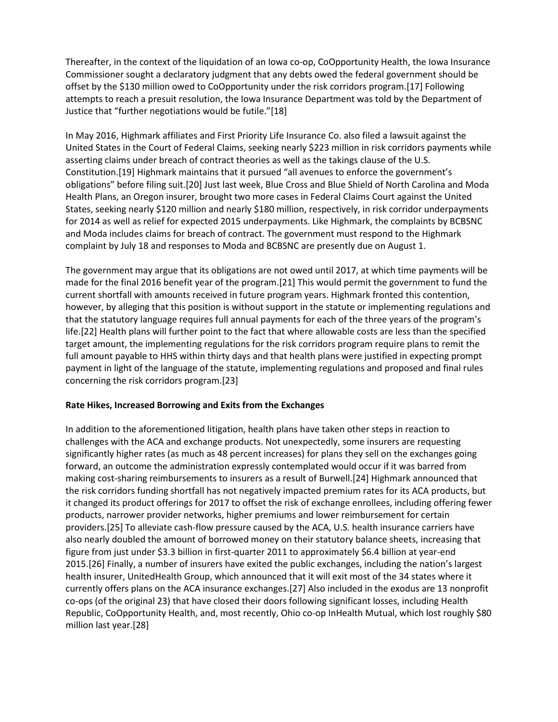Thereafter, in the context of the liquidation of an Iowa co-op, CoOpportunity Health, the Iowa Insurance Commissioner sought a declaratory judgment that any debts owed the federal government should be offset by the \$130 million owed to CoOpportunity under the risk corridors program.[17] Following attempts to reach a presuit resolution, the Iowa Insurance Department was told by the Department of Justice that "further negotiations would be futile."[18]

In May 2016, Highmark affiliates and First Priority Life Insurance Co. also filed a lawsuit against the United States in the Court of Federal Claims, seeking nearly \$223 million in risk corridors payments while asserting claims under breach of contract theories as well as the takings clause of the U.S. Constitution.[19] Highmark maintains that it pursued "all avenues to enforce the government's obligations" before filing suit.[20] Just last week, Blue Cross and Blue Shield of North Carolina and Moda Health Plans, an Oregon insurer, brought two more cases in Federal Claims Court against the United States, seeking nearly \$120 million and nearly \$180 million, respectively, in risk corridor underpayments for 2014 as well as relief for expected 2015 underpayments. Like Highmark, the complaints by BCBSNC and Moda includes claims for breach of contract. The government must respond to the Highmark complaint by July 18 and responses to Moda and BCBSNC are presently due on August 1.

The government may argue that its obligations are not owed until 2017, at which time payments will be made for the final 2016 benefit year of the program.[21] This would permit the government to fund the current shortfall with amounts received in future program years. Highmark fronted this contention, however, by alleging that this position is without support in the statute or implementing regulations and that the statutory language requires full annual payments for each of the three years of the program's life.[22] Health plans will further point to the fact that where allowable costs are less than the specified target amount, the implementing regulations for the risk corridors program require plans to remit the full amount payable to HHS within thirty days and that health plans were justified in expecting prompt payment in light of the language of the statute, implementing regulations and proposed and final rules concerning the risk corridors program.[23]

#### **Rate Hikes, Increased Borrowing and Exits from the Exchanges**

In addition to the aforementioned litigation, health plans have taken other steps in reaction to challenges with the ACA and exchange products. Not unexpectedly, some insurers are requesting significantly higher rates (as much as 48 percent increases) for plans they sell on the exchanges going forward, an outcome the administration expressly contemplated would occur if it was barred from making cost-sharing reimbursements to insurers as a result of Burwell.[24] Highmark announced that the risk corridors funding shortfall has not negatively impacted premium rates for its ACA products, but it changed its product offerings for 2017 to offset the risk of exchange enrollees, including offering fewer products, narrower provider networks, higher premiums and lower reimbursement for certain providers.[25] To alleviate cash-flow pressure caused by the ACA, U.S. health insurance carriers have also nearly doubled the amount of borrowed money on their statutory balance sheets, increasing that figure from just under \$3.3 billion in first-quarter 2011 to approximately \$6.4 billion at year-end 2015.[26] Finally, a number of insurers have exited the public exchanges, including the nation's largest health insurer, UnitedHealth Group, which announced that it will exit most of the 34 states where it currently offers plans on the ACA insurance exchanges.[27] Also included in the exodus are 13 nonprofit co-ops (of the original 23) that have closed their doors following significant losses, including Health Republic, CoOpportunity Health, and, most recently, Ohio co-op InHealth Mutual, which lost roughly \$80 million last year.[28]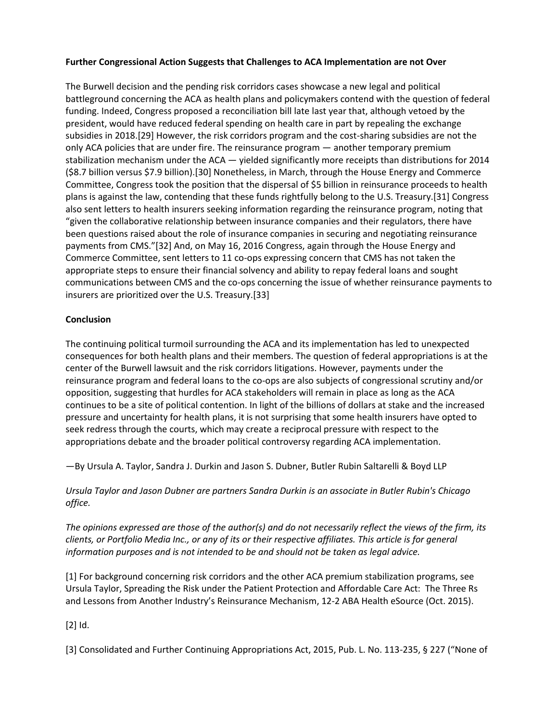## **Further Congressional Action Suggests that Challenges to ACA Implementation are not Over**

The Burwell decision and the pending risk corridors cases showcase a new legal and political battleground concerning the ACA as health plans and policymakers contend with the question of federal funding. Indeed, Congress proposed a reconciliation bill late last year that, although vetoed by the president, would have reduced federal spending on health care in part by repealing the exchange subsidies in 2018.[29] However, the risk corridors program and the cost-sharing subsidies are not the only ACA policies that are under fire. The reinsurance program — another temporary premium stabilization mechanism under the ACA — yielded significantly more receipts than distributions for 2014 (\$8.7 billion versus \$7.9 billion).[30] Nonetheless, in March, through the House Energy and Commerce Committee, Congress took the position that the dispersal of \$5 billion in reinsurance proceeds to health plans is against the law, contending that these funds rightfully belong to the U.S. Treasury.[31] Congress also sent letters to health insurers seeking information regarding the reinsurance program, noting that "given the collaborative relationship between insurance companies and their regulators, there have been questions raised about the role of insurance companies in securing and negotiating reinsurance payments from CMS."[32] And, on May 16, 2016 Congress, again through the House Energy and Commerce Committee, sent letters to 11 co-ops expressing concern that CMS has not taken the appropriate steps to ensure their financial solvency and ability to repay federal loans and sought communications between CMS and the co-ops concerning the issue of whether reinsurance payments to insurers are prioritized over the U.S. Treasury.[33]

## **Conclusion**

The continuing political turmoil surrounding the ACA and its implementation has led to unexpected consequences for both health plans and their members. The question of federal appropriations is at the center of the Burwell lawsuit and the risk corridors litigations. However, payments under the reinsurance program and federal loans to the co-ops are also subjects of congressional scrutiny and/or opposition, suggesting that hurdles for ACA stakeholders will remain in place as long as the ACA continues to be a site of political contention. In light of the billions of dollars at stake and the increased pressure and uncertainty for health plans, it is not surprising that some health insurers have opted to seek redress through the courts, which may create a reciprocal pressure with respect to the appropriations debate and the broader political controversy regarding ACA implementation.

—By Ursula A. Taylor, Sandra J. Durkin and Jason S. Dubner, Butler Rubin Saltarelli & Boyd LLP

*Ursula Taylor and Jason Dubner are partners Sandra Durkin is an associate in Butler Rubin's Chicago office.*

*The opinions expressed are those of the author(s) and do not necessarily reflect the views of the firm, its clients, or Portfolio Media Inc., or any of its or their respective affiliates. This article is for general information purposes and is not intended to be and should not be taken as legal advice.*

[1] For background concerning risk corridors and the other ACA premium stabilization programs, see Ursula Taylor, Spreading the Risk under the Patient Protection and Affordable Care Act: The Three Rs and Lessons from Another Industry's Reinsurance Mechanism, 12-2 ABA Health eSource (Oct. 2015).

[2] Id.

[3] Consolidated and Further Continuing Appropriations Act, 2015, Pub. L. No. 113-235, § 227 ("None of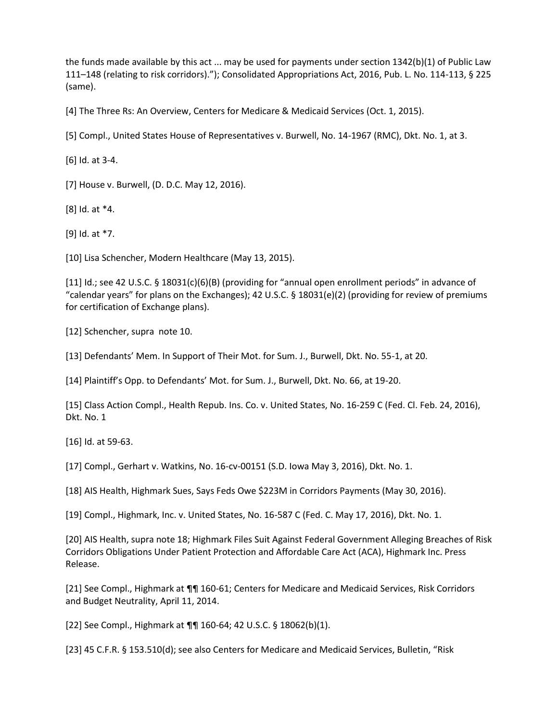the funds made available by this act ... may be used for payments under section 1342(b)(1) of Public Law 111–148 (relating to risk corridors)."); Consolidated Appropriations Act, 2016, Pub. L. No. 114-113, § 225 (same).

[4] The Three Rs: An Overview, Centers for Medicare & Medicaid Services (Oct. 1, 2015).

[5] Compl., United States House of Representatives v. Burwell, No. 14-1967 (RMC), Dkt. No. 1, at 3.

[6] Id. at 3-4.

[7] House v. Burwell, (D. D.C. May 12, 2016).

[8] Id. at \*4.

[9] Id. at \*7.

[10] Lisa Schencher, Modern Healthcare (May 13, 2015).

[11] Id.; see 42 U.S.C. § 18031(c)(6)(B) (providing for "annual open enrollment periods" in advance of "calendar years" for plans on the Exchanges); 42 U.S.C. § 18031(e)(2) (providing for review of premiums for certification of Exchange plans).

[12] Schencher, supra note 10.

[13] Defendants' Mem. In Support of Their Mot. for Sum. J., Burwell, Dkt. No. 55-1, at 20.

[14] Plaintiff's Opp. to Defendants' Mot. for Sum. J., Burwell, Dkt. No. 66, at 19-20.

[15] Class Action Compl., Health Repub. Ins. Co. v. United States, No. 16-259 C (Fed. Cl. Feb. 24, 2016), Dkt. No. 1

[16] Id. at 59-63.

[17] Compl., Gerhart v. Watkins, No. 16-cv-00151 (S.D. Iowa May 3, 2016), Dkt. No. 1.

[18] AIS Health, Highmark Sues, Says Feds Owe \$223M in Corridors Payments (May 30, 2016).

[19] Compl., Highmark, Inc. v. United States, No. 16-587 C (Fed. C. May 17, 2016), Dkt. No. 1.

[20] AIS Health, supra note 18; Highmark Files Suit Against Federal Government Alleging Breaches of Risk Corridors Obligations Under Patient Protection and Affordable Care Act (ACA), Highmark Inc. Press Release.

[21] See Compl., Highmark at ¶¶ 160-61; Centers for Medicare and Medicaid Services, Risk Corridors and Budget Neutrality, April 11, 2014.

[22] See Compl., Highmark at ¶¶ 160-64; 42 U.S.C. § 18062(b)(1).

[23] 45 C.F.R. § 153.510(d); see also Centers for Medicare and Medicaid Services, Bulletin, "Risk